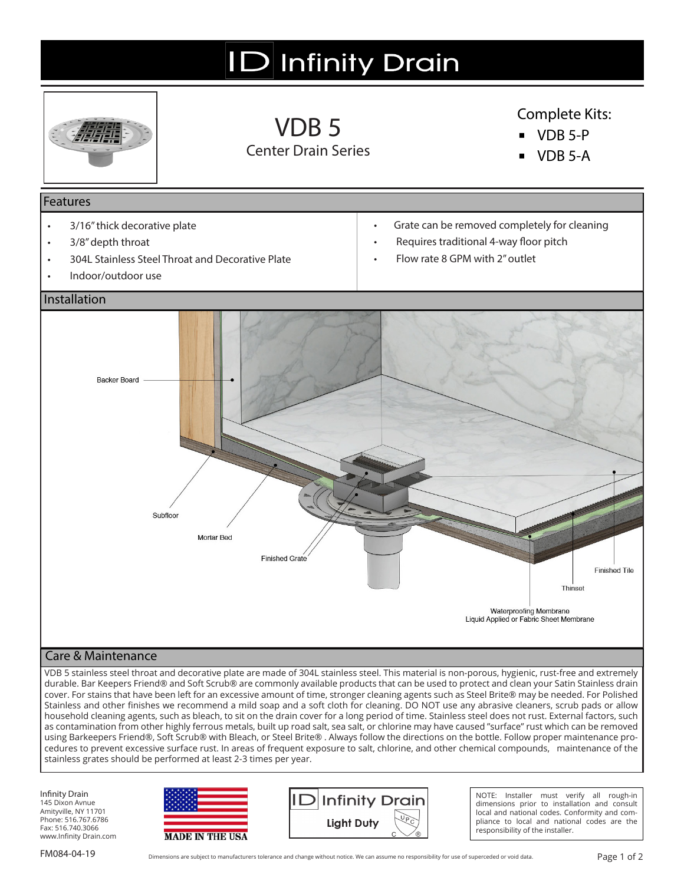# **ID** Infinity Drain



VDB 5 Center Drain Series

## Complete Kits:

- **▪** VDB 5-P
- **▪** VDB 5-A

#### Features

- 3/16" thick decorative plate
- 3/8" depth throat
- 304L Stainless Steel Throat and Decorative Plate
- Indoor/outdoor use
- Grate can be removed completely for cleaning
- Requires traditional 4-way floor pitch
- Flow rate 8 GPM with 2" outlet



### Care & Maintenance

VDB 5 stainless steel throat and decorative plate are made of 304L stainless steel. This material is non-porous, hygienic, rust-free and extremely durable. Bar Keepers Friend® and Soft Scrub® are commonly available products that can be used to protect and clean your Satin Stainless drain cover. For stains that have been left for an excessive amount of time, stronger cleaning agents such as Steel Brite® may be needed. For Polished Stainless and other finishes we recommend a mild soap and a soft cloth for cleaning. DO NOT use any abrasive cleaners, scrub pads or allow household cleaning agents, such as bleach, to sit on the drain cover for a long period of time. Stainless steel does not rust. External factors, such as contamination from other highly ferrous metals, built up road salt, sea salt, or chlorine may have caused "surface" rust which can be removed using Barkeepers Friend®, Soft Scrub® with Bleach, or Steel Brite® . Always follow the directions on the bottle. Follow proper maintenance procedures to prevent excessive surface rust. In areas of frequent exposure to salt, chlorine, and other chemical compounds, maintenance of the stainless grates should be performed at least 2-3 times per year.

Infinity Drain 145 Dixon Avnue Amityville, NY 11701 Phone: 516.767.6786 Fax: 516.740.3066 www.Infinity Drain.com





NOTE: Installer must verify all rough-in dimensions prior to installation and consult local and national codes. Conformity and compliance to local and national codes are the responsibility of the installer.